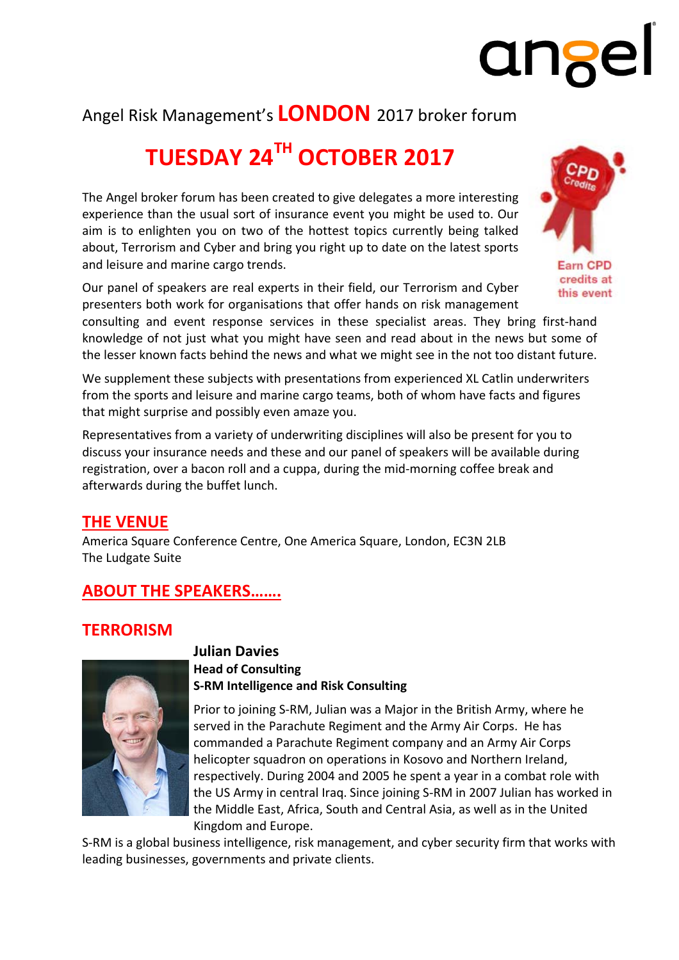## Angel Risk Management's **LONDON** 2017 broker forum

## **TUESDAY 24TH OCTOBER 2017**

The Angel broker forum has been created to give delegates a more interesting experience than the usual sort of insurance event you might be used to. Our aim is to enlighten you on two of the hottest topics currently being talked about, Terrorism and Cyber and bring you right up to date on the latest sports and leisure and marine cargo trends.

Our panel of speakers are real experts in their field, our Terrorism and Cyber presenters both work for organisations that offer hands on risk management

consulting and event response services in these specialist areas. They bring first‐hand knowledge of not just what you might have seen and read about in the news but some of the lesser known facts behind the news and what we might see in the not too distant future.

We supplement these subjects with presentations from experienced XL Catlin underwriters from the sports and leisure and marine cargo teams, both of whom have facts and figures that might surprise and possibly even amaze you.

Representatives from a variety of underwriting disciplines will also be present for you to discuss your insurance needs and these and our panel of speakers will be available during registration, over a bacon roll and a cuppa, during the mid‐morning coffee break and afterwards during the buffet lunch.

## **THE VENUE**

America Square Conference Centre, One America Square, London, EC3N 2LB The Ludgate Suite

## **ABOUT THE SPEAKERS…….**

## **TERRORISM**



#### **Julian Davies Head of Consulting S‐RM Intelligence and Risk Consulting**

Prior to joining S‐RM, Julian was a Major in the British Army, where he served in the Parachute Regiment and the Army Air Corps. He has commanded a Parachute Regiment company and an Army Air Corps helicopter squadron on operations in Kosovo and Northern Ireland, respectively. During 2004 and 2005 he spent a year in a combat role with the US Army in central Iraq. Since joining S‐RM in 2007 Julian has worked in the Middle East, Africa, South and Central Asia, as well as in the United Kingdom and Europe.

S-RM is a global business intelligence, risk management, and cyber security firm that works with leading businesses, governments and private clients.



# ange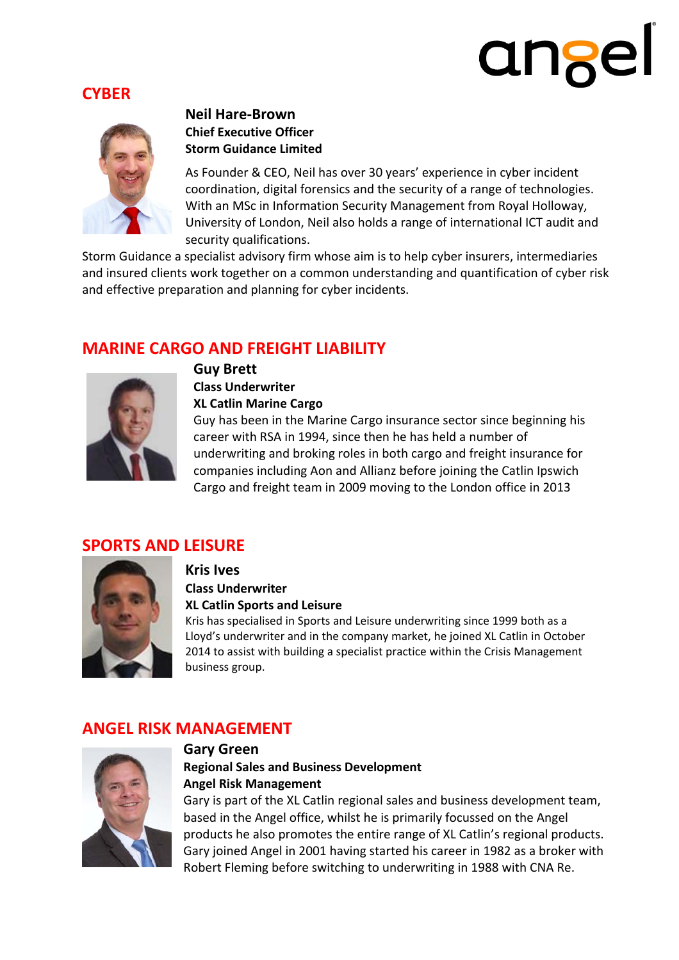# angel

## **CYBER**



## **Neil Hare‐Brown Chief Executive Officer Storm Guidance Limited**

As Founder & CEO, Neil has over 30 years' experience in cyber incident coordination, digital forensics and the security of a range of technologies. With an MSc in Information Security Management from Royal Holloway, University of London, Neil also holds a range of international ICT audit and security qualifications.

Storm Guidance a specialist advisory firm whose aim is to help cyber insurers, intermediaries and insured clients work together on a common understanding and quantification of cyber risk and effective preparation and planning for cyber incidents.

## **MARINE CARGO AND FREIGHT LIABILITY**



## **Guy Brett**

**Class Underwriter XL Catlin Marine Cargo**

Guy has been in the Marine Cargo insurance sector since beginning his career with RSA in 1994, since then he has held a number of underwriting and broking roles in both cargo and freight insurance for companies including Aon and Allianz before joining the Catlin Ipswich Cargo and freight team in 2009 moving to the London office in 2013

## **SPORTS AND LEISURE**



## **Kris Ives**

**Class Underwriter**

### **XL Catlin Sports and Leisure**

Kris has specialised in Sports and Leisure underwriting since 1999 both as a Lloyd's underwriter and in the company market, he joined XL Catlin in October 2014 to assist with building a specialist practice within the Crisis Management business group.

## **ANGEL RISK MANAGEMENT**



### **Gary Green**

## **Regional Sales and Business Development Angel Risk Management**

Gary is part of the XL Catlin regional sales and business development team, based in the Angel office, whilst he is primarily focussed on the Angel products he also promotes the entire range of XL Catlin's regional products. Gary joined Angel in 2001 having started his career in 1982 as a broker with Robert Fleming before switching to underwriting in 1988 with CNA Re.